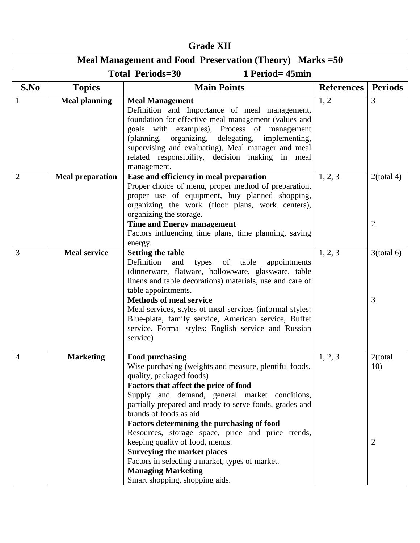| <b>Grade XII</b> |                                                           |                                                                                                                                                                                                                                                                                                                                                                                                                                                                                                                                                                                    |                   |                                  |  |  |  |  |  |  |
|------------------|-----------------------------------------------------------|------------------------------------------------------------------------------------------------------------------------------------------------------------------------------------------------------------------------------------------------------------------------------------------------------------------------------------------------------------------------------------------------------------------------------------------------------------------------------------------------------------------------------------------------------------------------------------|-------------------|----------------------------------|--|--|--|--|--|--|
|                  | Meal Management and Food Preservation (Theory) Marks = 50 |                                                                                                                                                                                                                                                                                                                                                                                                                                                                                                                                                                                    |                   |                                  |  |  |  |  |  |  |
|                  | 1 Period= 45min<br><b>Total Periods=30</b>                |                                                                                                                                                                                                                                                                                                                                                                                                                                                                                                                                                                                    |                   |                                  |  |  |  |  |  |  |
| S.No             | <b>Topics</b>                                             | <b>Main Points</b>                                                                                                                                                                                                                                                                                                                                                                                                                                                                                                                                                                 | <b>References</b> | <b>Periods</b>                   |  |  |  |  |  |  |
|                  | <b>Meal planning</b>                                      | <b>Meal Management</b><br>Definition and Importance of meal management,<br>foundation for effective meal management (values and<br>goals with examples), Process of management<br>(planning, organizing, delegating, implementing,<br>supervising and evaluating), Meal manager and meal<br>related responsibility, decision making in meal<br>management.                                                                                                                                                                                                                         | 1, 2              | 3                                |  |  |  |  |  |  |
| $\overline{2}$   | <b>Meal preparation</b>                                   | Ease and efficiency in meal preparation<br>Proper choice of menu, proper method of preparation,<br>proper use of equipment, buy planned shopping,<br>organizing the work (floor plans, work centers),<br>organizing the storage.<br><b>Time and Energy management</b><br>Factors influencing time plans, time planning, saving<br>energy.                                                                                                                                                                                                                                          | 1, 2, 3           | $2$ (total 4)<br>$\overline{2}$  |  |  |  |  |  |  |
| 3                | <b>Meal service</b>                                       | <b>Setting the table</b><br>Definition<br>and<br>types of table<br>appointments<br>(dinnerware, flatware, hollowware, glassware, table<br>linens and table decorations) materials, use and care of<br>table appointments.<br><b>Methods of meal service</b><br>Meal services, styles of meal services (informal styles:<br>Blue-plate, family service, American service, Buffet<br>service. Formal styles: English service and Russian<br>service)                                                                                                                                 | 1, 2, 3           | $3$ (total 6)<br>3               |  |  |  |  |  |  |
| 4                | <b>Marketing</b>                                          | Food purchasing<br>Wise purchasing (weights and measure, plentiful foods,<br>quality, packaged foods)<br>Factors that affect the price of food<br>Supply and demand, general market conditions,<br>partially prepared and ready to serve foods, grades and<br>brands of foods as aid<br>Factors determining the purchasing of food<br>Resources, storage space, price and price trends,<br>keeping quality of food, menus.<br><b>Surveying the market places</b><br>Factors in selecting a market, types of market.<br><b>Managing Marketing</b><br>Smart shopping, shopping aids. | 1, 2, 3           | 2(total<br>10)<br>$\overline{2}$ |  |  |  |  |  |  |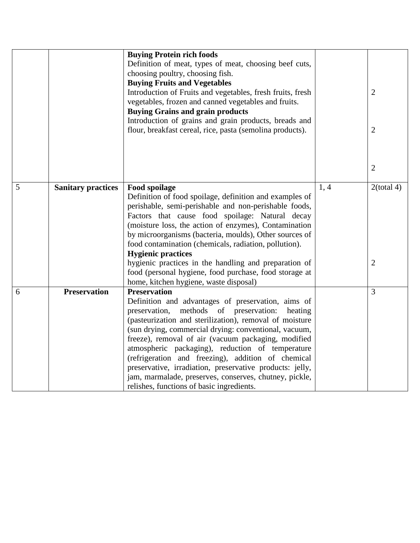|   |                           | <b>Buying Protein rich foods</b><br>Definition of meat, types of meat, choosing beef cuts,<br>choosing poultry, choosing fish.<br><b>Buying Fruits and Vegetables</b><br>Introduction of Fruits and vegetables, fresh fruits, fresh<br>vegetables, frozen and canned vegetables and fruits.<br><b>Buying Grains and grain products</b>                                                                                                                                                                                                                                                 |      | $\overline{2}$                  |
|---|---------------------------|----------------------------------------------------------------------------------------------------------------------------------------------------------------------------------------------------------------------------------------------------------------------------------------------------------------------------------------------------------------------------------------------------------------------------------------------------------------------------------------------------------------------------------------------------------------------------------------|------|---------------------------------|
|   |                           | Introduction of grains and grain products, breads and<br>flour, breakfast cereal, rice, pasta (semolina products).                                                                                                                                                                                                                                                                                                                                                                                                                                                                     |      | $\overline{2}$                  |
|   |                           |                                                                                                                                                                                                                                                                                                                                                                                                                                                                                                                                                                                        |      | $\overline{2}$                  |
| 5 | <b>Sanitary practices</b> | Food spoilage<br>Definition of food spoilage, definition and examples of<br>perishable, semi-perishable and non-perishable foods,<br>Factors that cause food spoilage: Natural decay<br>(moisture loss, the action of enzymes), Contamination<br>by microorganisms (bacteria, moulds), Other sources of<br>food contamination (chemicals, radiation, pollution).<br><b>Hygienic practices</b><br>hygienic practices in the handling and preparation of<br>food (personal hygiene, food purchase, food storage at<br>home, kitchen hygiene, waste disposal)                             | 1, 4 | $2$ (total 4)<br>$\overline{2}$ |
| 6 | <b>Preservation</b>       | <b>Preservation</b><br>Definition and advantages of preservation, aims of<br>preservation, methods of preservation:<br>heating<br>(pasteurization and sterilization), removal of moisture<br>(sun drying, commercial drying: conventional, vacuum,<br>freeze), removal of air (vacuum packaging, modified<br>atmospheric packaging), reduction of temperature<br>(refrigeration and freezing), addition of chemical<br>preservative, irradiation, preservative products: jelly,<br>jam, marmalade, preserves, conserves, chutney, pickle,<br>relishes, functions of basic ingredients. |      | 3                               |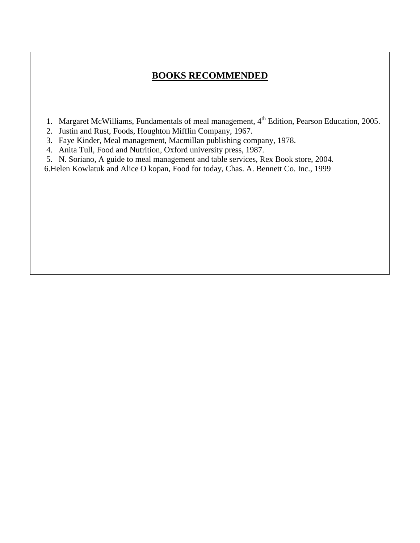## **BOOKS RECOMMENDED**

- 1. Margaret McWilliams, Fundamentals of meal management, 4<sup>th</sup> Edition, Pearson Education, 2005.
- 2. Justin and Rust, Foods, Houghton Mifflin Company, 1967.
- 3. Faye Kinder, Meal management, Macmillan publishing company, 1978.
- 4. Anita Tull, Food and Nutrition, Oxford university press, 1987.
- 5. N. Soriano, A guide to meal management and table services, Rex Book store, 2004.
- 6.Helen Kowlatuk and Alice O kopan, Food for today, Chas. A. Bennett Co. Inc., 1999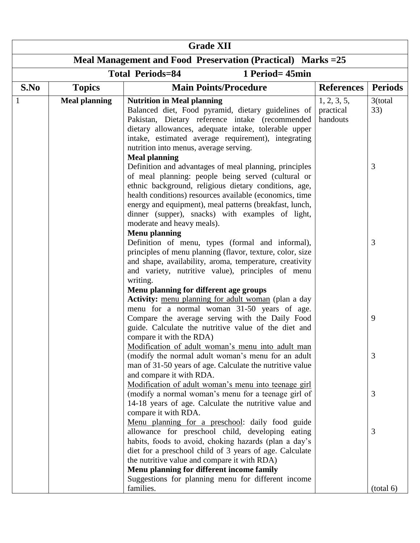| <b>Grade XII</b> |                                            |                                                                                                                                                                                                                                                                                                                                                                                                                               |                                      |                |  |  |  |  |  |  |  |
|------------------|--------------------------------------------|-------------------------------------------------------------------------------------------------------------------------------------------------------------------------------------------------------------------------------------------------------------------------------------------------------------------------------------------------------------------------------------------------------------------------------|--------------------------------------|----------------|--|--|--|--|--|--|--|
|                  |                                            | Meal Management and Food Preservation (Practical) Marks = 25                                                                                                                                                                                                                                                                                                                                                                  |                                      |                |  |  |  |  |  |  |  |
|                  | <b>Total Periods=84</b><br>1 Period= 45min |                                                                                                                                                                                                                                                                                                                                                                                                                               |                                      |                |  |  |  |  |  |  |  |
| S.No             | <b>Topics</b>                              | <b>Main Points/Procedure</b>                                                                                                                                                                                                                                                                                                                                                                                                  | <b>References</b>                    | <b>Periods</b> |  |  |  |  |  |  |  |
|                  | <b>Meal planning</b>                       | <b>Nutrition in Meal planning</b><br>Balanced diet, Food pyramid, dietary guidelines of<br>Pakistan, Dietary reference intake (recommended<br>dietary allowances, adequate intake, tolerable upper<br>intake, estimated average requirement), integrating<br>nutrition into menus, average serving.                                                                                                                           | 1, 2, 3, 5,<br>practical<br>handouts | 3(total<br>33) |  |  |  |  |  |  |  |
|                  |                                            | <b>Meal planning</b><br>Definition and advantages of meal planning, principles<br>of meal planning: people being served (cultural or<br>ethnic background, religious dietary conditions, age,<br>health conditions) resources available (economics, time<br>energy and equipment), meal patterns (breakfast, lunch,<br>dinner (supper), snacks) with examples of light,<br>moderate and heavy meals).<br><b>Menu planning</b> |                                      | 3              |  |  |  |  |  |  |  |
|                  |                                            | Definition of menu, types (formal and informal),<br>principles of menu planning (flavor, texture, color, size<br>and shape, availability, aroma, temperature, creativity<br>and variety, nutritive value), principles of menu<br>writing.<br>Menu planning for different age groups                                                                                                                                           |                                      | 3              |  |  |  |  |  |  |  |
|                  |                                            | Activity: menu planning for adult woman (plan a day<br>menu for a normal woman 31-50 years of age.<br>Compare the average serving with the Daily Food<br>guide. Calculate the nutritive value of the diet and<br>compare it with the RDA)                                                                                                                                                                                     |                                      | 9              |  |  |  |  |  |  |  |
|                  |                                            | Modification of adult woman's menu into adult man<br>(modify the normal adult woman's menu for an adult<br>man of 31-50 years of age. Calculate the nutritive value<br>and compare it with RDA.                                                                                                                                                                                                                               |                                      | 3              |  |  |  |  |  |  |  |
|                  |                                            | Modification of adult woman's menu into teenage girl<br>(modify a normal woman's menu for a teenage girl of<br>14-18 years of age. Calculate the nutritive value and<br>compare it with RDA.                                                                                                                                                                                                                                  |                                      | 3              |  |  |  |  |  |  |  |
|                  |                                            | Menu planning for a preschool: daily food guide<br>allowance for preschool child, developing eating<br>habits, foods to avoid, choking hazards (plan a day's<br>diet for a preschool child of 3 years of age. Calculate<br>the nutritive value and compare it with RDA)<br>Menu planning for different income family<br>Suggestions for planning menu for different income                                                    |                                      | 3              |  |  |  |  |  |  |  |
|                  |                                            | families.                                                                                                                                                                                                                                                                                                                                                                                                                     |                                      | (total 6)      |  |  |  |  |  |  |  |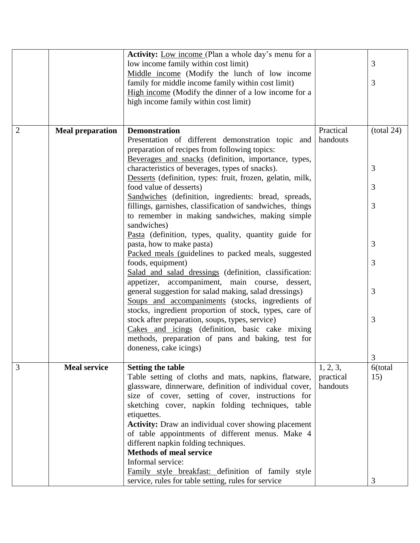|                |                         | Activity: Low income (Plan a whole day's menu for a<br>low income family within cost limit)<br>Middle income (Modify the lunch of low income                                                                                                                        |                                   | 3              |
|----------------|-------------------------|---------------------------------------------------------------------------------------------------------------------------------------------------------------------------------------------------------------------------------------------------------------------|-----------------------------------|----------------|
|                |                         | family for middle income family within cost limit)<br>High income (Modify the dinner of a low income for a                                                                                                                                                          |                                   | 3              |
|                |                         | high income family within cost limit)                                                                                                                                                                                                                               |                                   |                |
| $\overline{2}$ | <b>Meal preparation</b> | <b>Demonstration</b>                                                                                                                                                                                                                                                | Practical                         | (total 24)     |
|                |                         | Presentation of different demonstration topic and<br>preparation of recipes from following topics:                                                                                                                                                                  | handouts                          |                |
|                |                         | Beverages and snacks (definition, importance, types,<br>characteristics of beverages, types of snacks).<br>Desserts (definition, types: fruit, frozen, gelatin, milk,                                                                                               |                                   | 3              |
|                |                         | food value of desserts)<br>Sandwiches (definition, ingredients: bread, spreads,                                                                                                                                                                                     |                                   | 3              |
|                |                         | fillings, garnishes, classification of sandwiches, things<br>to remember in making sandwiches, making simple<br>sandwiches)                                                                                                                                         |                                   | 3              |
|                |                         | Pasta (definition, types, quality, quantity guide for<br>pasta, how to make pasta)<br>Packed meals (guidelines to packed meals, suggested                                                                                                                           |                                   | 3              |
|                |                         | foods, equipment)<br>Salad and salad dressings (definition, classification:<br>appetizer, accompaniment, main course, dessert,                                                                                                                                      |                                   | 3              |
|                |                         | general suggestion for salad making, salad dressings)<br>Soups and accompaniments (stocks, ingredients of<br>stocks, ingredient proportion of stock, types, care of                                                                                                 |                                   | 3              |
|                |                         | stock after preparation, soups, types, service)<br>Cakes and icings (definition, basic cake mixing<br>methods, preparation of pans and baking, test for<br>doneness, cake icings)                                                                                   |                                   | 3              |
|                |                         |                                                                                                                                                                                                                                                                     |                                   | 3              |
| 3              | <b>Meal service</b>     | <b>Setting the table</b><br>Table setting of cloths and mats, napkins, flatware,<br>glassware, dinnerware, definition of individual cover,<br>size of cover, setting of cover, instructions for<br>sketching cover, napkin folding techniques, table<br>etiquettes. | 1, 2, 3,<br>practical<br>handouts | 6(total<br>15) |
|                |                         | <b>Activity:</b> Draw an individual cover showing placement<br>of table appointments of different menus. Make 4<br>different napkin folding techniques.                                                                                                             |                                   |                |
|                |                         | <b>Methods of meal service</b>                                                                                                                                                                                                                                      |                                   |                |
|                |                         | Informal service:                                                                                                                                                                                                                                                   |                                   |                |
|                |                         | Family style breakfast: definition of family style<br>service, rules for table setting, rules for service                                                                                                                                                           |                                   | 3              |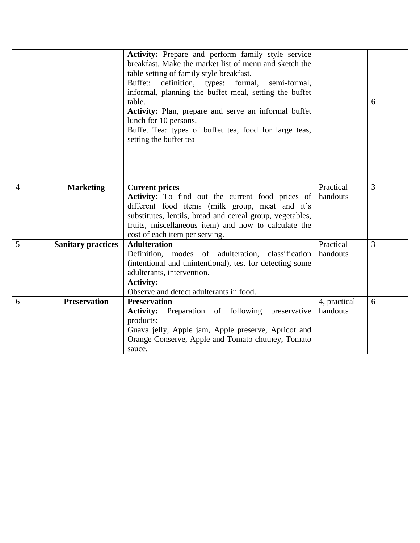|   |                           | Activity: Prepare and perform family style service<br>breakfast. Make the market list of menu and sketch the<br>table setting of family style breakfast.<br>definition, types:<br>Buffet:<br>formal,<br>semi-formal,<br>informal, planning the buffet meal, setting the buffet<br>table.<br>Activity: Plan, prepare and serve an informal buffet<br>lunch for 10 persons.<br>Buffet Tea: types of buffet tea, food for large teas,<br>setting the buffet tea |              | 6 |
|---|---------------------------|--------------------------------------------------------------------------------------------------------------------------------------------------------------------------------------------------------------------------------------------------------------------------------------------------------------------------------------------------------------------------------------------------------------------------------------------------------------|--------------|---|
| 4 | <b>Marketing</b>          | <b>Current prices</b>                                                                                                                                                                                                                                                                                                                                                                                                                                        | Practical    | 3 |
|   |                           | <b>Activity:</b> To find out the current food prices of                                                                                                                                                                                                                                                                                                                                                                                                      | handouts     |   |
|   |                           | different food items (milk group, meat and it's<br>substitutes, lentils, bread and cereal group, vegetables,                                                                                                                                                                                                                                                                                                                                                 |              |   |
|   |                           | fruits, miscellaneous item) and how to calculate the                                                                                                                                                                                                                                                                                                                                                                                                         |              |   |
|   |                           | cost of each item per serving.                                                                                                                                                                                                                                                                                                                                                                                                                               |              |   |
| 5 | <b>Sanitary practices</b> | <b>Adulteration</b>                                                                                                                                                                                                                                                                                                                                                                                                                                          | Practical    | 3 |
|   |                           | Definition, modes of adulteration,<br>classification                                                                                                                                                                                                                                                                                                                                                                                                         | handouts     |   |
|   |                           | (intentional and unintentional), test for detecting some                                                                                                                                                                                                                                                                                                                                                                                                     |              |   |
|   |                           | adulterants, intervention.<br><b>Activity:</b>                                                                                                                                                                                                                                                                                                                                                                                                               |              |   |
|   |                           | Observe and detect adulterants in food.                                                                                                                                                                                                                                                                                                                                                                                                                      |              |   |
| 6 | <b>Preservation</b>       | <b>Preservation</b>                                                                                                                                                                                                                                                                                                                                                                                                                                          | 4, practical | 6 |
|   |                           | Preparation of following preservative<br><b>Activity:</b>                                                                                                                                                                                                                                                                                                                                                                                                    | handouts     |   |
|   |                           | products:                                                                                                                                                                                                                                                                                                                                                                                                                                                    |              |   |
|   |                           | Guava jelly, Apple jam, Apple preserve, Apricot and                                                                                                                                                                                                                                                                                                                                                                                                          |              |   |
|   |                           | Orange Conserve, Apple and Tomato chutney, Tomato<br>sauce.                                                                                                                                                                                                                                                                                                                                                                                                  |              |   |
|   |                           |                                                                                                                                                                                                                                                                                                                                                                                                                                                              |              |   |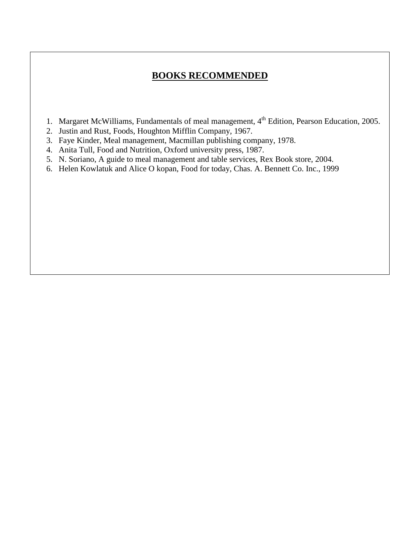## **BOOKS RECOMMENDED**

- 1. Margaret McWilliams, Fundamentals of meal management, 4<sup>th</sup> Edition, Pearson Education, 2005.
- 2. Justin and Rust, Foods, Houghton Mifflin Company, 1967.
- 3. Faye Kinder, Meal management, Macmillan publishing company, 1978.
- 4. Anita Tull, Food and Nutrition, Oxford university press, 1987.
- 5. N. Soriano, A guide to meal management and table services, Rex Book store, 2004.
- 6. Helen Kowlatuk and Alice O kopan, Food for today, Chas. A. Bennett Co. Inc., 1999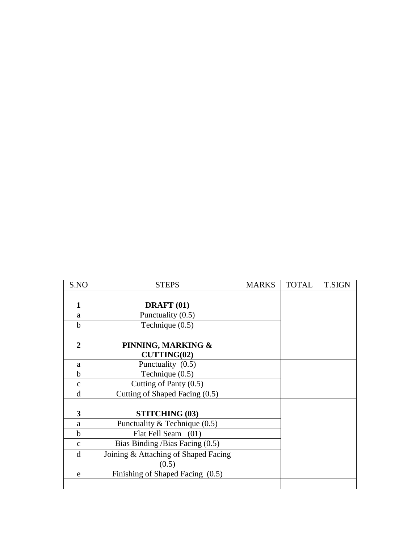| S.NO                    | <b>STEPS</b>                         | <b>MARKS</b> | <b>TOTAL</b> | <b>T.SIGN</b> |
|-------------------------|--------------------------------------|--------------|--------------|---------------|
|                         |                                      |              |              |               |
| $\mathbf{1}$            | DRAFT <sub>(01)</sub>                |              |              |               |
| a                       | Punctuality (0.5)                    |              |              |               |
| b                       | Technique (0.5)                      |              |              |               |
|                         |                                      |              |              |               |
| 2                       | PINNING, MARKING &                   |              |              |               |
|                         | <b>CUTTING(02)</b>                   |              |              |               |
| a                       | Punctuality (0.5)                    |              |              |               |
| b                       | Technique $(0.5)$                    |              |              |               |
| $\mathbf{C}$            | Cutting of Panty (0.5)               |              |              |               |
| d                       | Cutting of Shaped Facing (0.5)       |              |              |               |
|                         |                                      |              |              |               |
| $\overline{\mathbf{3}}$ | <b>STITCHING (03)</b>                |              |              |               |
| a                       | Punctuality & Technique $(0.5)$      |              |              |               |
| h                       | Flat Fell Seam (01)                  |              |              |               |
| $\mathbf{C}$            | Bias Binding / Bias Facing $(0.5)$   |              |              |               |
| d                       | Joining & Attaching of Shaped Facing |              |              |               |
|                         | (0.5)                                |              |              |               |
| e                       | Finishing of Shaped Facing (0.5)     |              |              |               |
|                         |                                      |              |              |               |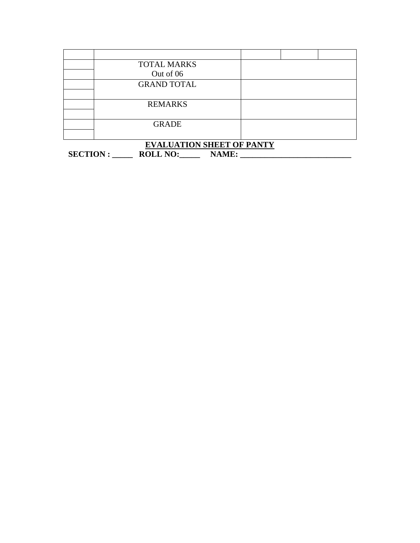| <b>TOTAL MARKS</b> |  |  |
|--------------------|--|--|
| Out of 06          |  |  |
| <b>GRAND TOTAL</b> |  |  |
|                    |  |  |
| <b>REMARKS</b>     |  |  |
|                    |  |  |
| <b>GRADE</b>       |  |  |
|                    |  |  |

|                |                 | <b>EVALUATION SHEET OF PANTY</b> |  |
|----------------|-----------------|----------------------------------|--|
| <b>SECTION</b> | <b>ROLL NO:</b> | <b>NAME:</b>                     |  |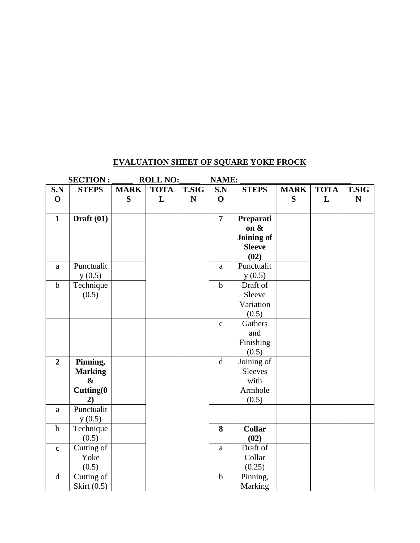#### **EVALUATION SHEET OF SQUARE YOKE FROCK**

|                | <b>SECTION:</b>   |             | <b>ROLL NO:</b> |              | NAME:                                                                                        |                   |             |             |              |
|----------------|-------------------|-------------|-----------------|--------------|----------------------------------------------------------------------------------------------|-------------------|-------------|-------------|--------------|
| S.N            | <b>STEPS</b>      | <b>MARK</b> | <b>TOTA</b>     | <b>T.SIG</b> | S.N                                                                                          | <b>STEPS</b>      | <b>MARK</b> | <b>TOTA</b> | <b>T.SIG</b> |
| $\mathbf 0$    |                   | S           | L               | ${\bf N}$    | $\mathbf 0$                                                                                  |                   | S           | L           | ${\bf N}$    |
|                |                   |             |                 |              |                                                                                              |                   |             |             |              |
| $\mathbf{1}$   | Draft $(01)$      |             |                 |              | $\overline{7}$                                                                               | Preparati         |             |             |              |
|                |                   |             |                 |              |                                                                                              | on &              |             |             |              |
|                |                   |             |                 |              |                                                                                              | <b>Joining of</b> |             |             |              |
|                |                   |             |                 |              |                                                                                              | <b>Sleeve</b>     |             |             |              |
|                |                   |             |                 |              |                                                                                              | (02)              |             |             |              |
| a              | Punctualit        |             |                 |              | $\mathbf{a}$                                                                                 | Punctualit        |             |             |              |
|                | y(0.5)            |             |                 |              |                                                                                              | y(0.5)            |             |             |              |
| $\mathbf b$    | Technique         |             |                 |              | $\mathbf b$                                                                                  | Draft of          |             |             |              |
|                | (0.5)             |             |                 |              |                                                                                              | Sleeve            |             |             |              |
|                |                   |             |                 |              |                                                                                              | Variation         |             |             |              |
|                |                   |             |                 |              |                                                                                              | (0.5)             |             |             |              |
|                |                   |             |                 |              | $\mathbf{c}$                                                                                 | Gathers           |             |             |              |
|                |                   |             |                 |              |                                                                                              | and               |             |             |              |
|                |                   |             |                 |              |                                                                                              | Finishing         |             |             |              |
|                |                   |             |                 |              |                                                                                              | (0.5)             |             |             |              |
| $\overline{2}$ | Pinning,          |             |                 |              | $\mathrm{d}% \left\vert \mathcal{H}\right\vert =\mathrm{d}\left\vert \mathcal{H}\right\vert$ | Joining of        |             |             |              |
|                | <b>Marking</b>    |             |                 |              |                                                                                              | <b>Sleeves</b>    |             |             |              |
|                | $\boldsymbol{\&}$ |             |                 |              |                                                                                              | with              |             |             |              |
|                | Cutting(0         |             |                 |              |                                                                                              | Armhole           |             |             |              |
|                | 2)                |             |                 |              |                                                                                              | (0.5)             |             |             |              |
| a              | Punctualit        |             |                 |              |                                                                                              |                   |             |             |              |
|                | y(0.5)            |             |                 |              |                                                                                              |                   |             |             |              |
| $\mathbf b$    | Technique         |             |                 |              | 8                                                                                            | <b>Collar</b>     |             |             |              |
|                | (0.5)             |             |                 |              |                                                                                              | (02)              |             |             |              |
| $\mathbf c$    | Cutting of        |             |                 |              | a                                                                                            | Draft of          |             |             |              |
|                | Yoke              |             |                 |              |                                                                                              | Collar            |             |             |              |
|                | (0.5)             |             |                 |              |                                                                                              | (0.25)            |             |             |              |
| d              | Cutting of        |             |                 |              | $\mathbf b$                                                                                  | Pinning,          |             |             |              |
|                | Skirt (0.5)       |             |                 |              |                                                                                              | Marking           |             |             |              |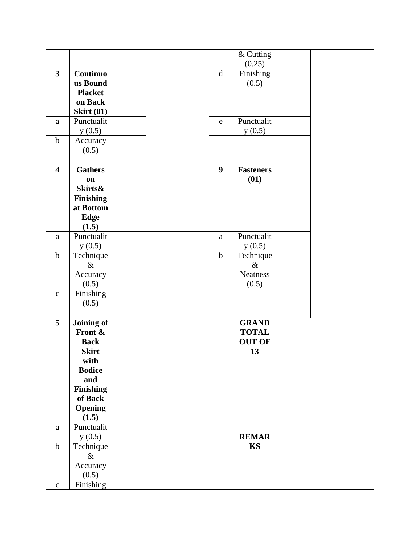|                         |                    |  |                  | & Cutting        |  |  |
|-------------------------|--------------------|--|------------------|------------------|--|--|
|                         |                    |  |                  | (0.25)           |  |  |
| $\mathbf{3}$            | <b>Continuo</b>    |  | $\mathbf d$      | Finishing        |  |  |
|                         | us Bound           |  |                  | (0.5)            |  |  |
|                         | <b>Placket</b>     |  |                  |                  |  |  |
|                         | on Back            |  |                  |                  |  |  |
|                         | <b>Skirt (01)</b>  |  |                  |                  |  |  |
| a                       | Punctualit         |  | $\mathbf e$      | Punctualit       |  |  |
|                         |                    |  |                  |                  |  |  |
| $\mathbf b$             | y(0.5)             |  |                  | y(0.5)           |  |  |
|                         | Accuracy           |  |                  |                  |  |  |
|                         | (0.5)              |  |                  |                  |  |  |
|                         |                    |  |                  |                  |  |  |
| $\overline{\mathbf{4}}$ | <b>Gathers</b>     |  | $\boldsymbol{9}$ | <b>Fasteners</b> |  |  |
|                         | on                 |  |                  | (01)             |  |  |
|                         | <b>Skirts&amp;</b> |  |                  |                  |  |  |
|                         | <b>Finishing</b>   |  |                  |                  |  |  |
|                         | at Bottom          |  |                  |                  |  |  |
|                         | <b>Edge</b>        |  |                  |                  |  |  |
|                         | (1.5)              |  |                  |                  |  |  |
| a                       | Punctualit         |  | a                | Punctualit       |  |  |
|                         | y(0.5)             |  |                  | y(0.5)           |  |  |
| $\mathbf b$             | Technique          |  | $\mathbf b$      | Technique        |  |  |
|                         | $\&$               |  |                  | $\&$             |  |  |
|                         | Accuracy           |  |                  | <b>Neatness</b>  |  |  |
|                         | (0.5)              |  |                  | (0.5)            |  |  |
| $\mathbf{C}$            | Finishing          |  |                  |                  |  |  |
|                         | (0.5)              |  |                  |                  |  |  |
|                         |                    |  |                  |                  |  |  |
| $5\phantom{.0}$         | Joining of         |  |                  | <b>GRAND</b>     |  |  |
|                         | Front &            |  |                  | <b>TOTAL</b>     |  |  |
|                         | <b>Back</b>        |  |                  | <b>OUT OF</b>    |  |  |
|                         | <b>Skirt</b>       |  |                  | 13               |  |  |
|                         | with               |  |                  |                  |  |  |
|                         | <b>Bodice</b>      |  |                  |                  |  |  |
|                         | and                |  |                  |                  |  |  |
|                         | <b>Finishing</b>   |  |                  |                  |  |  |
|                         | of Back            |  |                  |                  |  |  |
|                         | <b>Opening</b>     |  |                  |                  |  |  |
|                         | (1.5)              |  |                  |                  |  |  |
| a                       | Punctualit         |  |                  |                  |  |  |
|                         | y(0.5)             |  |                  | <b>REMAR</b>     |  |  |
| $\mathbf b$             | Technique          |  |                  | <b>KS</b>        |  |  |
|                         | $\&$               |  |                  |                  |  |  |
|                         | Accuracy           |  |                  |                  |  |  |
|                         | (0.5)              |  |                  |                  |  |  |
|                         |                    |  |                  |                  |  |  |
| $\mathbf C$             | Finishing          |  |                  |                  |  |  |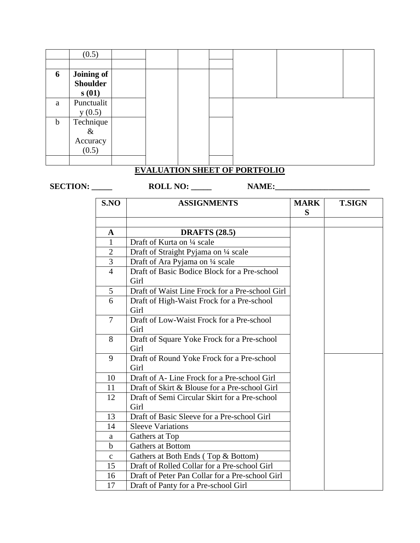|             | (0.5)           |  |  |  |  |
|-------------|-----------------|--|--|--|--|
|             |                 |  |  |  |  |
| 6           | Joining of      |  |  |  |  |
|             | <b>Shoulder</b> |  |  |  |  |
|             | s(01)           |  |  |  |  |
| a           | Punctualit      |  |  |  |  |
|             | y(0.5)          |  |  |  |  |
| $\mathbf b$ | Technique       |  |  |  |  |
|             | $\&$            |  |  |  |  |
|             | Accuracy        |  |  |  |  |
|             | (0.5)           |  |  |  |  |
|             |                 |  |  |  |  |

## **EVALUATION SHEET OF PORTFOLIO**

**SECTION: \_\_\_\_\_ ROLL NO: \_\_\_\_\_ NAME:\_\_\_\_\_\_\_\_\_\_\_\_\_\_\_\_\_\_\_\_\_\_\_**

| S.NO           | <b>ASSIGNMENTS</b>                                    | <b>MARK</b><br>S | <b>T.SIGN</b> |
|----------------|-------------------------------------------------------|------------------|---------------|
|                |                                                       |                  |               |
| A              | <b>DRAFTS</b> (28.5)                                  |                  |               |
| $\mathbf{1}$   | Draft of Kurta on 1/4 scale                           |                  |               |
| $\overline{2}$ | Draft of Straight Pyjama on 1/4 scale                 |                  |               |
| 3              | Draft of Ara Pyjama on 1/4 scale                      |                  |               |
| $\overline{4}$ | Draft of Basic Bodice Block for a Pre-school<br>Girl  |                  |               |
| 5              | Draft of Waist Line Frock for a Pre-school Girl       |                  |               |
| 6              | Draft of High-Waist Frock for a Pre-school<br>Girl    |                  |               |
| $\overline{7}$ | Draft of Low-Waist Frock for a Pre-school<br>Girl     |                  |               |
| 8              | Draft of Square Yoke Frock for a Pre-school<br>Girl   |                  |               |
| 9              | Draft of Round Yoke Frock for a Pre-school<br>Girl    |                  |               |
| 10             | Draft of A-Line Frock for a Pre-school Girl           |                  |               |
| 11             | Draft of Skirt & Blouse for a Pre-school Girl         |                  |               |
| 12             | Draft of Semi Circular Skirt for a Pre-school<br>Girl |                  |               |
| 13             | Draft of Basic Sleeve for a Pre-school Girl           |                  |               |
| 14             | <b>Sleeve Variations</b>                              |                  |               |
| a              | Gathers at Top                                        |                  |               |
| $\mathbf b$    | <b>Gathers at Bottom</b>                              |                  |               |
| $\mathbf{C}$   | Gathers at Both Ends (Top & Bottom)                   |                  |               |
| 15             | Draft of Rolled Collar for a Pre-school Girl          |                  |               |
| 16             | Draft of Peter Pan Collar for a Pre-school Girl       |                  |               |
| 17             | Draft of Panty for a Pre-school Girl                  |                  |               |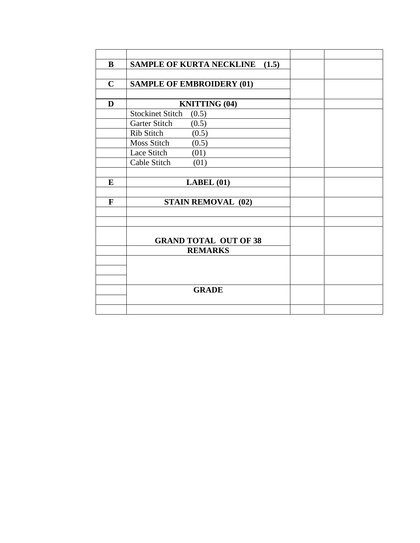| B           | <b>SAMPLE OF KURTA NECKLINE</b><br>(1.5) |  |
|-------------|------------------------------------------|--|
|             |                                          |  |
| $\mathbf C$ | <b>SAMPLE OF EMBROIDERY (01)</b>         |  |
|             |                                          |  |
| D           | <b>KNITTING (04)</b>                     |  |
|             | <b>Stockinet Stitch</b><br>(0.5)         |  |
|             | Garter Stitch<br>(0.5)                   |  |
|             | Rib Stitch<br>(0.5)                      |  |
|             | <b>Moss Stitch</b><br>(0.5)              |  |
|             | Lace Stitch<br>(01)                      |  |
|             | Cable Stitch<br>(01)                     |  |
|             |                                          |  |
| E           | LABEL(01)                                |  |
|             |                                          |  |
| F           | <b>STAIN REMOVAL (02)</b>                |  |
|             |                                          |  |
|             |                                          |  |
|             |                                          |  |
|             | <b>GRAND TOTAL OUT OF 38</b>             |  |
|             | <b>REMARKS</b>                           |  |
|             |                                          |  |
|             |                                          |  |
|             |                                          |  |
|             | <b>GRADE</b>                             |  |
|             |                                          |  |
|             |                                          |  |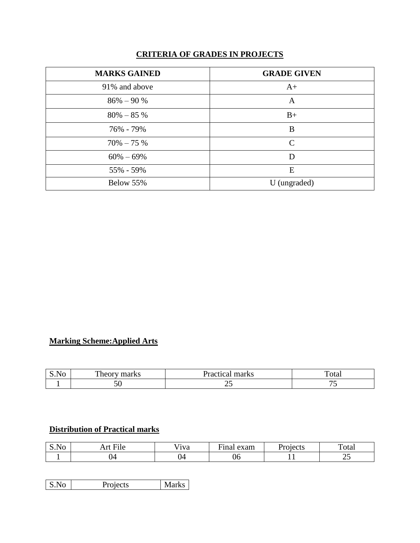## **CRITERIA OF GRADES IN PROJECTS**

| <b>MARKS GAINED</b> | <b>GRADE GIVEN</b> |
|---------------------|--------------------|
| 91% and above       | $A+$               |
| $86\% - 90\%$       | A                  |
| $80\% - 85\%$       | $B+$               |
| 76% - 79%           | B                  |
| $70\% - 75\%$       | $\mathcal{C}$      |
| $60\% - 69\%$       | D                  |
| 55% - 59%           | E                  |
| Below 55%           | U (ungraded)       |

## **Marking Scheme:Applied Arts**

| ٦U<br><b>P.TIC</b> | - 16 | rks<br>.    | rca.<br>- - - - - |
|--------------------|------|-------------|-------------------|
|                    | ◡◡   | ب<br>$\sim$ |                   |

## **Distribution of Practical marks**

| S.No | $\cdots$<br>--<br>11 V | .<br>' iva | exam | necte o<br>ั∿เ⊾<br>$ -$ | ௱<br>Total |
|------|------------------------|------------|------|-------------------------|------------|
|      | J4                     | IΔ         | U6   | . .                     | ں سے       |

| S.No<br>Projects | <b>Marks</b> |
|------------------|--------------|
|------------------|--------------|